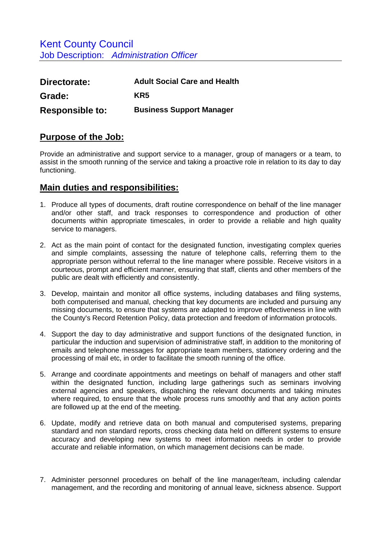Kent County Council Job Description: *Administration Officer* 

| Directorate:           | <b>Adult Social Care and Health</b> |
|------------------------|-------------------------------------|
| Grade:                 | KR5                                 |
| <b>Responsible to:</b> | <b>Business Support Manager</b>     |

## **Purpose of the Job:**

Provide an administrative and support service to a manager, group of managers or a team, to assist in the smooth running of the service and taking a proactive role in relation to its day to day functioning.

## **Main duties and responsibilities:**

- 1. Produce all types of documents, draft routine correspondence on behalf of the line manager and/or other staff, and track responses to correspondence and production of other documents within appropriate timescales, in order to provide a reliable and high quality service to managers.
- 2. Act as the main point of contact for the designated function, investigating complex queries and simple complaints, assessing the nature of telephone calls, referring them to the appropriate person without referral to the line manager where possible. Receive visitors in a courteous, prompt and efficient manner, ensuring that staff, clients and other members of the public are dealt with efficiently and consistently.
- 3. Develop, maintain and monitor all office systems, including databases and filing systems, both computerised and manual, checking that key documents are included and pursuing any missing documents, to ensure that systems are adapted to improve effectiveness in line with the County's Record Retention Policy, data protection and freedom of information protocols.
- 4. Support the day to day administrative and support functions of the designated function, in particular the induction and supervision of administrative staff, in addition to the monitoring of emails and telephone messages for appropriate team members, stationery ordering and the processing of mail etc, in order to facilitate the smooth running of the office.
- 5. Arrange and coordinate appointments and meetings on behalf of managers and other staff within the designated function, including large gatherings such as seminars involving external agencies and speakers, dispatching the relevant documents and taking minutes where required, to ensure that the whole process runs smoothly and that any action points are followed up at the end of the meeting.
- 6. Update, modify and retrieve data on both manual and computerised systems, preparing standard and non standard reports, cross checking data held on different systems to ensure accuracy and developing new systems to meet information needs in order to provide accurate and reliable information, on which management decisions can be made.
- 7. Administer personnel procedures on behalf of the line manager/team, including calendar management, and the recording and monitoring of annual leave, sickness absence. Support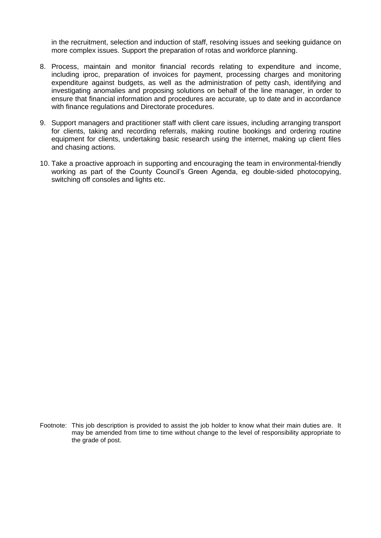in the recruitment, selection and induction of staff, resolving issues and seeking guidance on more complex issues. Support the preparation of rotas and workforce planning.

- 8. Process, maintain and monitor financial records relating to expenditure and income, including iproc, preparation of invoices for payment, processing charges and monitoring expenditure against budgets, as well as the administration of petty cash, identifying and investigating anomalies and proposing solutions on behalf of the line manager, in order to ensure that financial information and procedures are accurate, up to date and in accordance with finance regulations and Directorate procedures.
- 9. Support managers and practitioner staff with client care issues, including arranging transport for clients, taking and recording referrals, making routine bookings and ordering routine equipment for clients, undertaking basic research using the internet, making up client files and chasing actions.
- 10. Take a proactive approach in supporting and encouraging the team in environmental-friendly working as part of the County Council's Green Agenda, eg double-sided photocopying, switching off consoles and lights etc.

Footnote: This job description is provided to assist the job holder to know what their main duties are. It may be amended from time to time without change to the level of responsibility appropriate to the grade of post.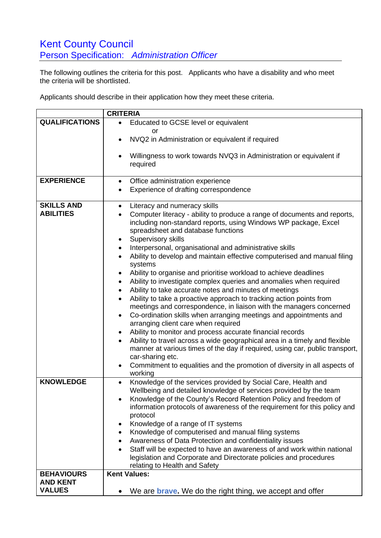## **Kent County Council** Person Specification: *Administration Officer*

The following outlines the criteria for this post. Applicants who have a disability and who meet the criteria will be shortlisted.

Applicants should describe in their application how they meet these criteria.

| <b>CRITERIA</b>       |                                                                                                                                                                                                                                                                              |
|-----------------------|------------------------------------------------------------------------------------------------------------------------------------------------------------------------------------------------------------------------------------------------------------------------------|
| <b>QUALIFICATIONS</b> | Educated to GCSE level or equivalent<br>$\bullet$                                                                                                                                                                                                                            |
|                       | or                                                                                                                                                                                                                                                                           |
|                       | NVQ2 in Administration or equivalent if required                                                                                                                                                                                                                             |
|                       | Willingness to work towards NVQ3 in Administration or equivalent if<br>required                                                                                                                                                                                              |
| <b>EXPERIENCE</b>     | Office administration experience<br>٠                                                                                                                                                                                                                                        |
|                       | Experience of drafting correspondence                                                                                                                                                                                                                                        |
| <b>SKILLS AND</b>     | Literacy and numeracy skills<br>$\bullet$                                                                                                                                                                                                                                    |
| <b>ABILITIES</b>      | Computer literacy - ability to produce a range of documents and reports,<br>including non-standard reports, using Windows WP package, Excel<br>spreadsheet and database functions<br>Supervisory skills<br>٠<br>Interpersonal, organisational and administrative skills<br>٠ |
|                       | Ability to develop and maintain effective computerised and manual filing                                                                                                                                                                                                     |
|                       | systems                                                                                                                                                                                                                                                                      |
|                       | Ability to organise and prioritise workload to achieve deadlines                                                                                                                                                                                                             |
|                       | Ability to investigate complex queries and anomalies when required<br>٠                                                                                                                                                                                                      |
|                       | Ability to take accurate notes and minutes of meetings<br>٠                                                                                                                                                                                                                  |
|                       | Ability to take a proactive approach to tracking action points from<br>meetings and correspondence, in liaison with the managers concerned<br>Co-ordination skills when arranging meetings and appointments and<br>arranging client care when required                       |
|                       | Ability to monitor and process accurate financial records<br>٠                                                                                                                                                                                                               |
|                       | Ability to travel across a wide geographical area in a timely and flexible<br>$\bullet$<br>manner at various times of the day if required, using car, public transport,<br>car-sharing etc.                                                                                  |
|                       | Commitment to equalities and the promotion of diversity in all aspects of<br>working                                                                                                                                                                                         |
| <b>KNOWLEDGE</b>      | Knowledge of the services provided by Social Care, Health and                                                                                                                                                                                                                |
|                       | Wellbeing and detailed knowledge of services provided by the team                                                                                                                                                                                                            |
|                       | Knowledge of the County's Record Retention Policy and freedom of                                                                                                                                                                                                             |
|                       | information protocols of awareness of the requirement for this policy and<br>protocol                                                                                                                                                                                        |
|                       | Knowledge of a range of IT systems<br>٠                                                                                                                                                                                                                                      |
|                       | Knowledge of computerised and manual filing systems<br>٠                                                                                                                                                                                                                     |
|                       | Awareness of Data Protection and confidentiality issues<br>٠                                                                                                                                                                                                                 |
|                       | Staff will be expected to have an awareness of and work within national                                                                                                                                                                                                      |
|                       | legislation and Corporate and Directorate policies and procedures<br>relating to Health and Safety                                                                                                                                                                           |
| <b>BEHAVIOURS</b>     | <b>Kent Values:</b>                                                                                                                                                                                                                                                          |
| <b>AND KENT</b>       |                                                                                                                                                                                                                                                                              |
| <b>VALUES</b>         | We are <b>brave.</b> We do the right thing, we accept and offer                                                                                                                                                                                                              |